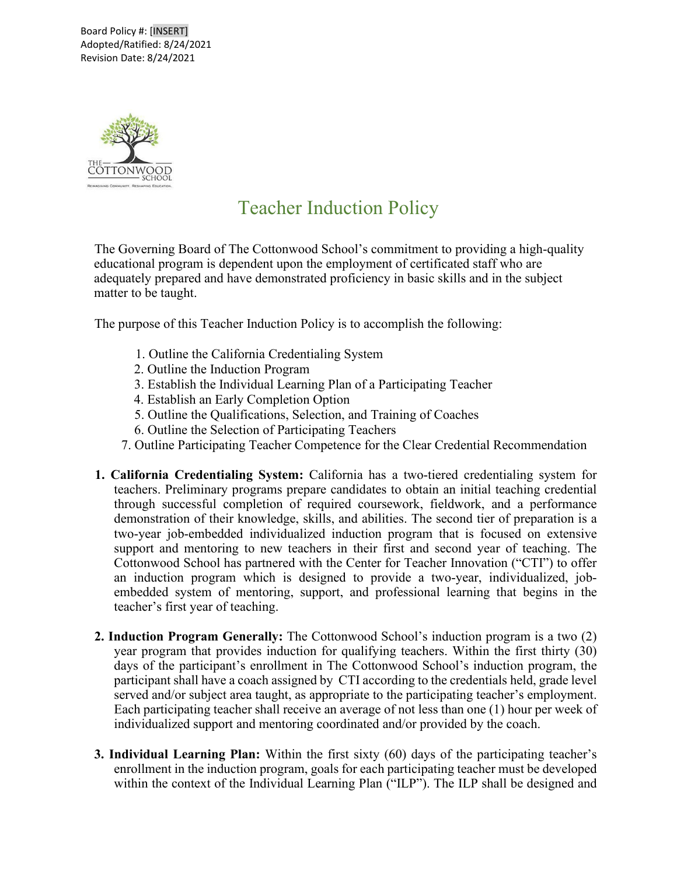Board Policy #: [INSERT] Adopted/Ratified: 8/24/2021 Revision Date: 8/24/2021



## Teacher Induction Policy

The Governing Board of The Cottonwood School's commitment to providing a high-quality educational program is dependent upon the employment of certificated staff who are adequately prepared and have demonstrated proficiency in basic skills and in the subject matter to be taught.

The purpose of this Teacher Induction Policy is to accomplish the following:

- 1. Outline the California Credentialing System
- 2. Outline the Induction Program
- 3. Establish the Individual Learning Plan of a Participating Teacher
- 4. Establish an Early Completion Option
- 5. Outline the Qualifications, Selection, and Training of Coaches
- 6. Outline the Selection of Participating Teachers
- 7. Outline Participating Teacher Competence for the Clear Credential Recommendation
- **1. California Credentialing System:** California has a two-tiered credentialing system for teachers. Preliminary programs prepare candidates to obtain an initial teaching credential through successful completion of required coursework, fieldwork, and a performance demonstration of their knowledge, skills, and abilities. The second tier of preparation is a two-year job-embedded individualized induction program that is focused on extensive support and mentoring to new teachers in their first and second year of teaching. The Cottonwood School has partnered with the Center for Teacher Innovation ("CTI") to offer an induction program which is designed to provide a two-year, individualized, jobembedded system of mentoring, support, and professional learning that begins in the teacher's first year of teaching.
- **2. Induction Program Generally:** The Cottonwood School's induction program is a two (2) year program that provides induction for qualifying teachers. Within the first thirty (30) days of the participant's enrollment in The Cottonwood School's induction program, the participant shall have a coach assigned by CTI according to the credentials held, grade level served and/or subject area taught, as appropriate to the participating teacher's employment. Each participating teacher shall receive an average of not less than one (1) hour per week of individualized support and mentoring coordinated and/or provided by the coach.
- **3. Individual Learning Plan:** Within the first sixty (60) days of the participating teacher's enrollment in the induction program, goals for each participating teacher must be developed within the context of the Individual Learning Plan ("ILP"). The ILP shall be designed and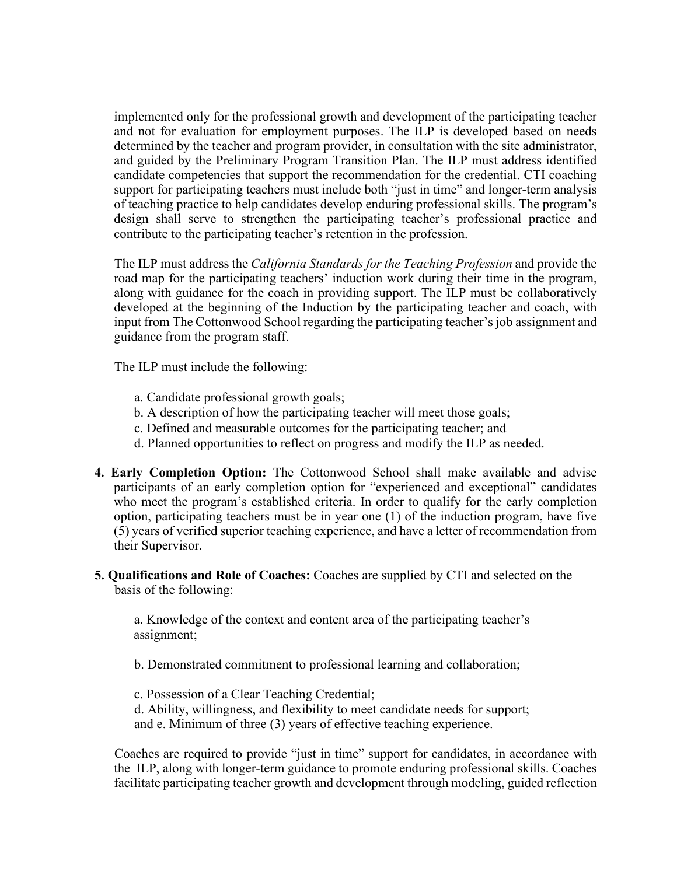implemented only for the professional growth and development of the participating teacher and not for evaluation for employment purposes. The ILP is developed based on needs determined by the teacher and program provider, in consultation with the site administrator, and guided by the Preliminary Program Transition Plan. The ILP must address identified candidate competencies that support the recommendation for the credential. CTI coaching support for participating teachers must include both "just in time" and longer-term analysis of teaching practice to help candidates develop enduring professional skills. The program's design shall serve to strengthen the participating teacher's professional practice and contribute to the participating teacher's retention in the profession.

The ILP must address the *California Standards for the Teaching Profession* and provide the road map for the participating teachers' induction work during their time in the program, along with guidance for the coach in providing support. The ILP must be collaboratively developed at the beginning of the Induction by the participating teacher and coach, with input from The Cottonwood School regarding the participating teacher's job assignment and guidance from the program staff.

The ILP must include the following:

- a. Candidate professional growth goals;
- b. A description of how the participating teacher will meet those goals;
- c. Defined and measurable outcomes for the participating teacher; and
- d. Planned opportunities to reflect on progress and modify the ILP as needed.
- **4. Early Completion Option:** The Cottonwood School shall make available and advise participants of an early completion option for "experienced and exceptional" candidates who meet the program's established criteria. In order to qualify for the early completion option, participating teachers must be in year one (1) of the induction program, have five (5) years of verified superior teaching experience, and have a letter of recommendation from their Supervisor.
- **5. Qualifications and Role of Coaches:** Coaches are supplied by CTI and selected on the basis of the following:

a. Knowledge of the context and content area of the participating teacher's assignment;

b. Demonstrated commitment to professional learning and collaboration;

c. Possession of a Clear Teaching Credential;

d. Ability, willingness, and flexibility to meet candidate needs for support; and e. Minimum of three (3) years of effective teaching experience.

Coaches are required to provide "just in time" support for candidates, in accordance with the ILP, along with longer-term guidance to promote enduring professional skills. Coaches facilitate participating teacher growth and development through modeling, guided reflection